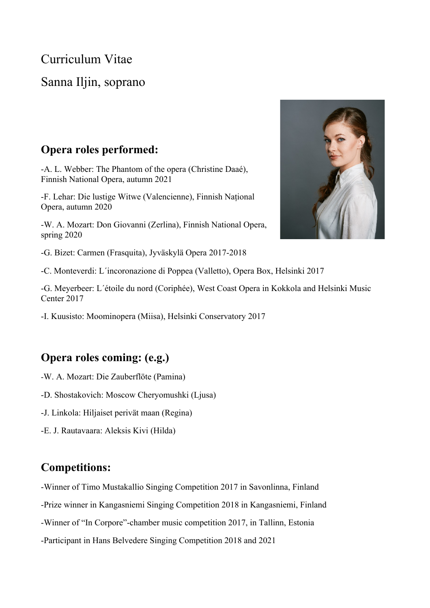Curriculum Vitae

# Sanna Iljin, soprano

#### **Opera roles performed:**

-A. L. Webber: The Phantom of the opera (Christine Daaé), Finnish National Opera, autumn 2021

-F. Lehar: Die lustige Witwe (Valencienne), Finnish Național Opera, autumn 2020

-W. A. Mozart: Don Giovanni (Zerlina), Finnish National Opera, spring 2020

-G. Bizet: Carmen (Frasquita), Jyväskylä Opera 2017-2018

-C. Monteverdi: L´incoronazione di Poppea (Valletto), Opera Box, Helsinki 2017

-G. Meyerbeer: L´étoile du nord (Coriphée), West Coast Opera in Kokkola and Helsinki Music Center 2017

-I. Kuusisto: Moominopera (Miisa), Helsinki Conservatory 2017

### **Opera roles coming: (e.g.)**

- -W. A. Mozart: Die Zauberflöte (Pamina)
- -D. Shostakovich: Moscow Cheryomushki (Ljusa)
- -J. Linkola: Hiljaiset perivät maan (Regina)
- -E. J. Rautavaara: Aleksis Kivi (Hilda)

### **Competitions:**

- -Winner of Timo Mustakallio Singing Competition 2017 in Savonlinna, Finland
- -Prize winner in Kangasniemi Singing Competition 2018 in Kangasniemi, Finland
- -Winner of "In Corpore"-chamber music competition 2017, in Tallinn, Estonia
- -Participant in Hans Belvedere Singing Competition 2018 and 2021